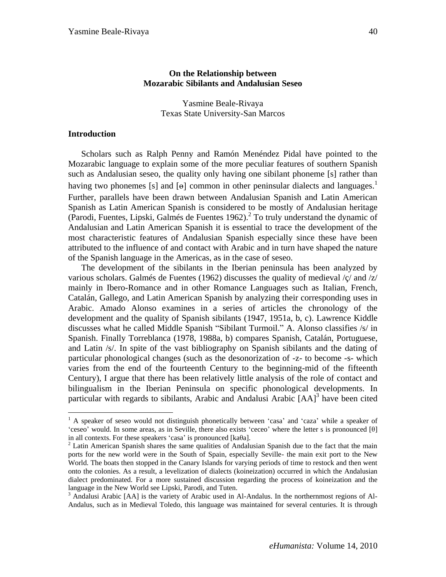# **On the Relationship between Mozarabic Sibilants and Andalusian Seseo**

Yasmine Beale-Rivaya Texas State University-San Marcos

### **Introduction**

 $\overline{a}$ 

Scholars such as Ralph Penny and Ramón Menéndez Pidal have pointed to the Mozarabic language to explain some of the more peculiar features of southern Spanish such as Andalusian seseo, the quality only having one sibilant phoneme [s] rather than having two phonemes [s] and [ $\theta$ ] common in other peninsular dialects and languages.<sup>1</sup> Further, parallels have been drawn between Andalusian Spanish and Latin American Spanish as Latin American Spanish is considered to be mostly of Andalusian heritage (Parodi, Fuentes, Lipski, Galmés de Fuentes 1962). 2 To truly understand the dynamic of Andalusian and Latin American Spanish it is essential to trace the development of the most characteristic features of Andalusian Spanish especially since these have been attributed to the influence of and contact with Arabic and in turn have shaped the nature of the Spanish language in the Americas, as in the case of seseo.

The development of the sibilants in the Iberian peninsula has been analyzed by various scholars. Galmés de Fuentes (1962) discusses the quality of medieval /ç/ and /z/ mainly in Ibero-Romance and in other Romance Languages such as Italian, French, Catalán, Gallego, and Latin American Spanish by analyzing their corresponding uses in Arabic. Amado Alonso examines in a series of articles the chronology of the development and the quality of Spanish sibilants (1947, 1951a, b, c). Lawrence Kiddle discusses what he called Middle Spanish "Sibilant Turmoil." A. Alonso classifies /s/ in Spanish. Finally Torreblanca (1978, 1988a, b) compares Spanish, Catalán, Portuguese, and Latin /s/. In spite of the vast bibliography on Spanish sibilants and the dating of particular phonological changes (such as the desonorization of -z- to become -s- which varies from the end of the fourteenth Century to the beginning-mid of the fifteenth Century), I argue that there has been relatively little analysis of the role of contact and bilingualism in the Iberian Peninsula on specific phonological developments. In particular with regards to sibilants, Arabic and Andalusi Arabic [AA]<sup>3</sup> have been cited

 $<sup>1</sup>$  A speaker of seseo would not distinguish phonetically between 'casa' and 'caza' while a speaker of</sup> "ceseo" would. In some areas, as in Seville, there also exists "ceceo" where the letter s is pronounced [θ] in all contexts. For these speakers "casa" is pronounced [kaθa].

 $2$  Latin American Spanish shares the same qualities of Andalusian Spanish due to the fact that the main ports for the new world were in the South of Spain, especially Seville- the main exit port to the New World. The boats then stopped in the Canary Islands for varying periods of time to restock and then went onto the colonies. As a result, a levelization of dialects (koineization) occurred in which the Andalusian dialect predominated. For a more sustained discussion regarding the process of koineization and the language in the New World see Lipski, Parodi, and Tuten.

<sup>&</sup>lt;sup>3</sup> Andalusi Arabic [AA] is the variety of Arabic used in Al-Andalus. In the northernmost regions of Al-Andalus, such as in Medieval Toledo, this language was maintained for several centuries. It is through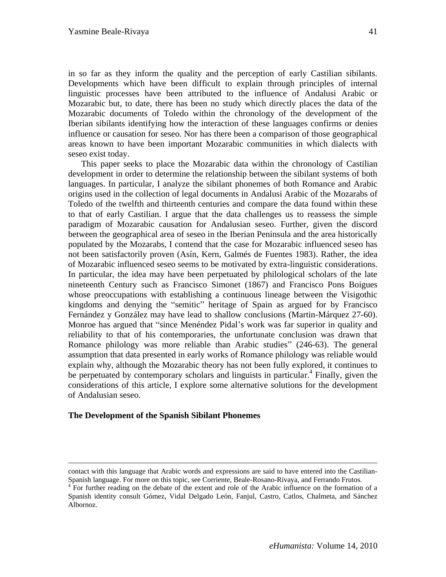in so far as they inform the quality and the perception of early Castilian sibilants. Developments which have been difficult to explain through principles of internal linguistic processes have been attributed to the influence of Andalusi Arabic or Mozarabic but, to date, there has been no study which directly places the data of the Mozarabic documents of Toledo within the chronology of the development of the Iberian sibilants identifying how the interaction of these languages confirms or denies influence or causation for seseo. Nor has there been a comparison of those geographical areas known to have been important Mozarabic communities in which dialects with seseo exist today.

This paper seeks to place the Mozarabic data within the chronology of Castilian development in order to determine the relationship between the sibilant systems of both languages. In particular, I analyze the sibilant phonemes of both Romance and Arabic origins used in the collection of legal documents in Andalusi Arabic of the Mozarabs of Toledo of the twelfth and thirteenth centuries and compare the data found within these to that of early Castilian. I argue that the data challenges us to reassess the simple paradigm of Mozarabic causation for Andalusian seseo. Further, given the discord between the geographical area of seseo in the Iberian Peninsula and the area historically populated by the Mozarabs, I contend that the case for Mozarabic influenced seseo has not been satisfactorily proven (Asín, Kern, Galmés de Fuentes 1983). Rather, the idea of Mozarabic influenced seseo seems to be motivated by extra-linguistic considerations. In particular, the idea may have been perpetuated by philological scholars of the late nineteenth Century such as Francisco Simonet (1867) and Francisco Pons Boigues whose preoccupations with establishing a continuous lineage between the Visigothic kingdoms and denying the "semitic" heritage of Spain as argued for by Francisco Fernández y González may have lead to shallow conclusions (Martin-Márquez 27-60). Monroe has argued that "since Menéndez Pidal"s work was far superior in quality and reliability to that of his contemporaries, the unfortunate conclusion was drawn that Romance philology was more reliable than Arabic studies" (246-63). The general assumption that data presented in early works of Romance philology was reliable would explain why, although the Mozarabic theory has not been fully explored, it continues to be perpetuated by contemporary scholars and linguists in particular.<sup>4</sup> Finally, given the considerations of this article, I explore some alternative solutions for the development of Andalusian seseo.

### **The Development of the Spanish Sibilant Phonemes**

<u>.</u>

contact with this language that Arabic words and expressions are said to have entered into the Castilian-Spanish language. For more on this topic, see Corriente, Beale-Rosano-Rivaya, and Ferrando Frutos.

<sup>&</sup>lt;sup>4</sup> For further reading on the debate of the extent and role of the Arabic influence on the formation of a Spanish identity consult Gómez, Vidal Delgado León, Fanjul, Castro, Catlos, Chalmeta, and Sánchez Albornoz.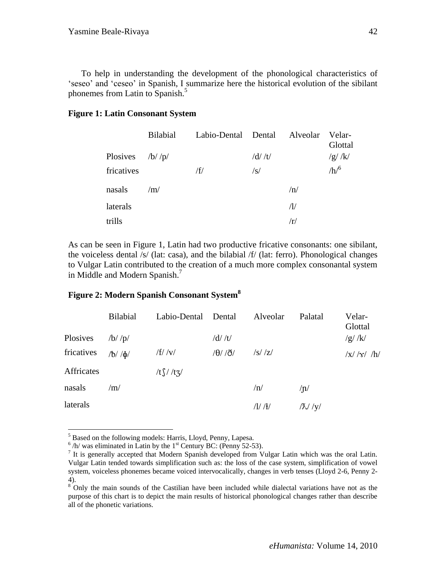To help in understanding the development of the phonological characteristics of "seseo" and "ceseo" in Spanish, I summarize here the historical evolution of the sibilant phonemes from Latin to Spanish.<sup>5</sup>

### **Figure 1: Latin Consonant System**

|                   | Bilabial | Labio-Dental Dental Alveolar |                |             | Velar-<br>Glottal |
|-------------------|----------|------------------------------|----------------|-------------|-------------------|
| Plosives $/b'/p/$ |          |                              | $/d/ \sqrt{t}$ |             | /g/K/             |
| fricatives        |          | /f/                          | $\sqrt{s}$     |             | /h/6              |
| nasals            | /m/      |                              |                | /n/         |                   |
| laterals          |          |                              |                | $\Lambda$ / |                   |
| trills            |          |                              |                | /r/         |                   |

As can be seen in Figure 1, Latin had two productive fricative consonants: one sibilant, the voiceless dental /s/ (lat: casa), and the bilabial /f/ (lat: ferro). Phonological changes to Vulgar Latin contributed to the creation of a much more complex consonantal system in Middle and Modern Spanish.<sup>7</sup>

### **Figure 2: Modern Spanish Consonant System<sup>8</sup>**

|            | <b>Bilabial</b>  | Labio-Dental Dental         |                         | Alveolar              | Palatal          | Velar-<br>Glottal     |
|------------|------------------|-----------------------------|-------------------------|-----------------------|------------------|-----------------------|
| Plosives   | $/b$ / $p$ /     |                             | $/d/ \sqrt{t}$          |                       |                  | $/g/$ /k/             |
| fricatives | $/b/$ / $\phi$ / | $/f/$ /v/                   | $/ \theta / / \delta /$ | $\frac{ S }{Z}$       |                  | $\frac{1}{x}$ /x/ /h/ |
| Affricates |                  | /t $\int$ //t $\frac{7}{2}$ |                         |                       |                  |                       |
| nasals     | /m/              |                             |                         | /n/                   | $\sqrt{n}$       |                       |
| laterals   |                  |                             |                         | $/1/$ / $\frac{1}{2}$ | $ \chi /\gamma $ |                       |

 $\overline{a}$ <sup>5</sup> Based on the following models: Harris, Lloyd, Penny, Lapesa.

 $^6$  /h/ was eliminated in Latin by the 1<sup>st</sup> Century BC: (Penny 52-53).

<sup>&</sup>lt;sup>7</sup> It is generally accepted that Modern Spanish developed from Vulgar Latin which was the oral Latin. Vulgar Latin tended towards simplification such as: the loss of the case system, simplification of vowel system, voiceless phonemes became voiced intervocalically, changes in verb tenses (Lloyd 2-6, Penny 2- 4).

<sup>&</sup>lt;sup>8</sup> Only the main sounds of the Castilian have been included while dialectal variations have not as the purpose of this chart is to depict the main results of historical phonological changes rather than describe all of the phonetic variations.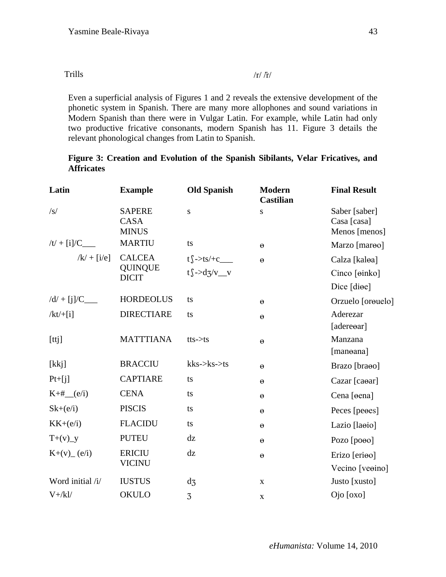| Trills | $\pi / \pi /$ |
|--------|---------------|
|--------|---------------|

Even a superficial analysis of Figures 1 and 2 reveals the extensive development of the phonetic system in Spanish. There are many more allophones and sound variations in Modern Spanish than there were in Vulgar Latin. For example, while Latin had only two productive fricative consonants, modern Spanish has 11. Figure 3 details the relevant phonological changes from Latin to Spanish.

# **Figure 3: Creation and Evolution of the Spanish Sibilants, Velar Fricatives, and Affricates**

| Latin            | <b>Example</b>                               | <b>Old Spanish</b>          | <b>Modern</b><br><b>Castilian</b> | <b>Final Result</b>                           |
|------------------|----------------------------------------------|-----------------------------|-----------------------------------|-----------------------------------------------|
| $\sqrt{s}$       | <b>SAPERE</b><br><b>CASA</b><br><b>MINUS</b> | ${\bf S}$                   | ${\bf S}$                         | Saber [saber]<br>Casa [casa]<br>Menos [menos] |
| $/t/ + [i]/C_$   | <b>MARTIU</b>                                | ts                          | $\Theta$                          | Marzo [mareo]                                 |
| $/k/ + [i/e]$    | <b>CALCEA</b>                                | $t \int -\gamma t s / +c$   | $\Theta$                          | Calza [kaloa]                                 |
|                  | <b>QUINQUE</b><br><b>DICIT</b>               | $t \int -\frac{d}{dx}$ /v_v |                                   | Cinco [oinko]                                 |
|                  |                                              |                             |                                   | Dice [diee]                                   |
|                  | <b>HORDEOLUS</b>                             | ts                          | $\Theta$                          | Orzuelo [orouelo]                             |
| $/kt/+[i]$       | <b>DIRECTIARE</b>                            | ts                          | $\Theta$                          | Aderezar                                      |
|                  |                                              |                             |                                   | [adereear]                                    |
| [ttj]            | <b>MATTTIANA</b>                             | $tts \rightarrow ts$        | $\Theta$                          | Manzana                                       |
|                  |                                              |                             |                                   | [manoana]                                     |
| [kkj]            | <b>BRACCIU</b>                               | $kks$ -> $ks$ ->ts          | $\Theta$                          | Brazo [braoo]                                 |
| $Pt+[j]$         | <b>CAPTIARE</b>                              | ts                          | $\Theta$                          | Cazar [caear]                                 |
| $K+#$ (e/i)      | <b>CENA</b>                                  | ts                          | $\Theta$                          | Cena [eena]                                   |
| $Sk+(e/i)$       | <b>PISCIS</b>                                | ts                          | $\Theta$                          | Peces [peoes]                                 |
| $KK+(e/i)$       | <b>FLACIDU</b>                               | ts                          | $\Theta$                          | Lazio [laoio]                                 |
| $T+(v)$ y        | <b>PUTEU</b>                                 | dz                          | $\Theta$                          | Pozo [pooo]                                   |
| $K+(v)$ (e/i)    | <b>ERICIU</b>                                | dz                          | $\Theta$                          | Erizo [erioo]                                 |
|                  | <b>VICINU</b>                                |                             |                                   | Vecino [veoino]                               |
| Word initial /i/ | <b>IUSTUS</b>                                | $d_3$                       | $\mathbf X$                       | Justo [xusto]                                 |
| $V + / k$        | <b>OKULO</b>                                 | 3                           | $\mathbf X$                       | Ojo [oxo]                                     |
|                  |                                              |                             |                                   |                                               |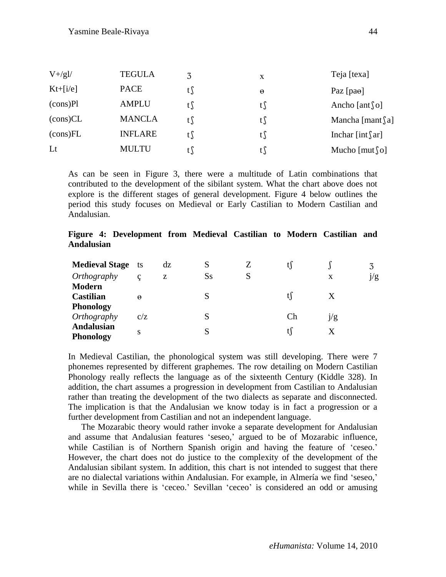| $V + /g$ ]/              | <b>TEGULA</b>  | 3   | X        | Teja [texa]            |
|--------------------------|----------------|-----|----------|------------------------|
| $Kt+[i/e]$               | <b>PACE</b>    | t S | $\theta$ | Paz $[paθ]$            |
| $(cons)$ Pl              | <b>AMPLU</b>   | t   | t∫       | Ancho [ant $\Omega$ ]  |
| $(\text{cons})\text{CL}$ | <b>MANCLA</b>  | t   | t S      | Mancha [mant $\int$ a] |
| (cons)FL                 | <b>INFLARE</b> | t   | t        | Inchar [int $\int$ ar] |
| Lt                       | <b>MULTU</b>   | t   | t S      | Mucho [mut $\Omega$ ]  |

As can be seen in Figure 3, there were a multitude of Latin combinations that contributed to the development of the sibilant system. What the chart above does not explore is the different stages of general development. Figure 4 below outlines the period this study focuses on Medieval or Early Castilian to Modern Castilian and Andalusian.

# **Figure 4: Development from Medieval Castilian to Modern Castilian and Andalusian**

| <b>Medieval Stage</b> ts |             | dz |    |   |    |     | 3   |
|--------------------------|-------------|----|----|---|----|-----|-----|
| Orthography              | $\mathbf c$ | z  | Ss | S |    | X   | j/g |
| <b>Modern</b>            |             |    |    |   |    |     |     |
| <b>Castilian</b>         | $\Theta$    |    |    |   |    |     |     |
| <b>Phonology</b>         |             |    |    |   |    |     |     |
| Orthography              | C/Z         |    | S  |   | Ch | ]/g |     |
| <b>Andalusian</b>        | S           |    |    |   |    |     |     |
| <b>Phonology</b>         |             |    |    |   |    |     |     |

In Medieval Castilian, the phonological system was still developing. There were 7 phonemes represented by different graphemes. The row detailing on Modern Castilian Phonology really reflects the language as of the sixteenth Century (Kiddle 328). In addition, the chart assumes a progression in development from Castilian to Andalusian rather than treating the development of the two dialects as separate and disconnected. The implication is that the Andalusian we know today is in fact a progression or a further development from Castilian and not an independent language.

The Mozarabic theory would rather invoke a separate development for Andalusian and assume that Andalusian features "seseo," argued to be of Mozarabic influence, while Castilian is of Northern Spanish origin and having the feature of 'ceseo.' However, the chart does not do justice to the complexity of the development of the Andalusian sibilant system. In addition, this chart is not intended to suggest that there are no dialectal variations within Andalusian. For example, in Almería we find "seseo," while in Sevilla there is 'ceceo.' Sevillan 'ceceo' is considered an odd or amusing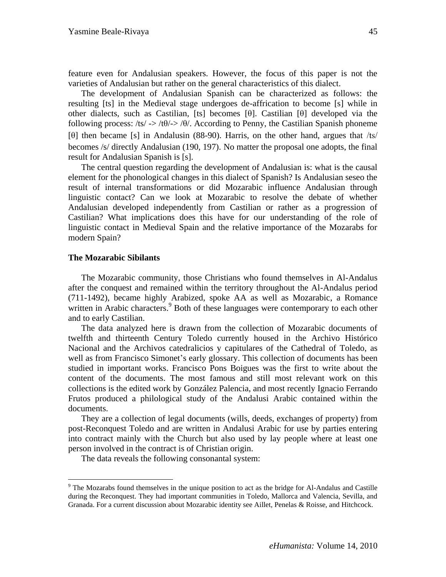feature even for Andalusian speakers. However, the focus of this paper is not the varieties of Andalusian but rather on the general characteristics of this dialect.

The development of Andalusian Spanish can be characterized as follows: the resulting [ts] in the Medieval stage undergoes de-affrication to become [s] while in other dialects, such as Castilian, [ts] becomes [θ]. Castilian [θ] developed via the following process:  $\sqrt{ts}$   $\rightarrow$   $\sqrt{t}\theta$   $\rightarrow$   $\sqrt{\theta}$ . According to Penny, the Castilian Spanish phoneme [θ] then became [s] in Andalusin (88-90). Harris, on the other hand, argues that /ts/ becomes /s/ directly Andalusian (190, 197). No matter the proposal one adopts, the final result for Andalusian Spanish is [s].

The central question regarding the development of Andalusian is: what is the causal element for the phonological changes in this dialect of Spanish? Is Andalusian seseo the result of internal transformations or did Mozarabic influence Andalusian through linguistic contact? Can we look at Mozarabic to resolve the debate of whether Andalusian developed independently from Castilian or rather as a progression of Castilian? What implications does this have for our understanding of the role of linguistic contact in Medieval Spain and the relative importance of the Mozarabs for modern Spain?

#### **The Mozarabic Sibilants**

 $\overline{a}$ 

The Mozarabic community, those Christians who found themselves in Al-Andalus after the conquest and remained within the territory throughout the Al-Andalus period (711-1492), became highly Arabized, spoke AA as well as Mozarabic, a Romance written in Arabic characters.<sup>9</sup> Both of these languages were contemporary to each other and to early Castilian.

The data analyzed here is drawn from the collection of Mozarabic documents of twelfth and thirteenth Century Toledo currently housed in the Archivo Histórico Nacional and the Archivos catedralicios y capitulares of the Cathedral of Toledo, as well as from Francisco Simonet's early glossary. This collection of documents has been studied in important works. Francisco Pons Boigues was the first to write about the content of the documents. The most famous and still most relevant work on this collections is the edited work by González Palencia, and most recently Ignacio Ferrando Frutos produced a philological study of the Andalusi Arabic contained within the documents.

They are a collection of legal documents (wills, deeds, exchanges of property) from post-Reconquest Toledo and are written in Andalusi Arabic for use by parties entering into contract mainly with the Church but also used by lay people where at least one person involved in the contract is of Christian origin.

The data reveals the following consonantal system:

<sup>&</sup>lt;sup>9</sup> The Mozarabs found themselves in the unique position to act as the bridge for Al-Andalus and Castille during the Reconquest. They had important communities in Toledo, Mallorca and Valencia, Sevilla, and Granada. For a current discussion about Mozarabic identity see Aillet, Penelas & Roisse, and Hitchcock.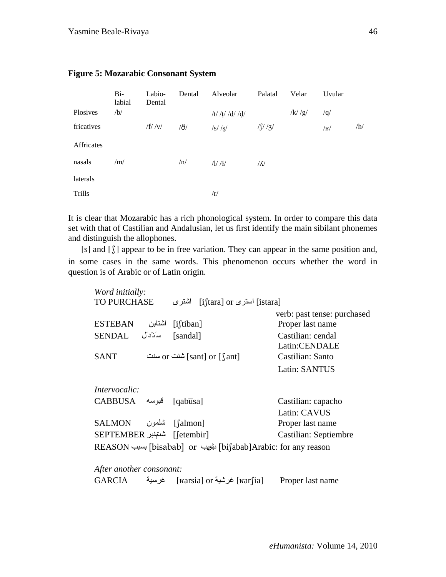|            | $Bi-$<br>labial | Labio-<br>Dental | Dental     | Alveolar        | Palatal         | Velar  | Uvular      |     |
|------------|-----------------|------------------|------------|-----------------|-----------------|--------|-------------|-----|
| Plosives   | /b/             |                  |            | /t/ /t/ /d/ /d/ |                 | /k//g/ | /q/         |     |
| fricatives |                 | $/f/$ /v/        | $\partial$ | /s//s/          | $1/\int /3$     |        | $ {\bf R} $ | /h/ |
| Affricates |                 |                  |            |                 |                 |        |             |     |
| nasals     | /m/             |                  | /n/        | /1//1/          | $\sqrt{\Delta}$ |        |             |     |
| laterals   |                 |                  |            |                 |                 |        |             |     |
| Trills     |                 |                  |            | /r/             |                 |        |             |     |

# **Figure 5: Mozarabic Consonant System**

It is clear that Mozarabic has a rich phonological system. In order to compare this data set with that of Castilian and Andalusian, let us first identify the main sibilant phonemes and distinguish the allophones.

[s] and [ $\int$ ] appear to be in free variation. They can appear in the same position and, in some cases in the same words. This phenomenon occurs whether the word in question is of Arabic or of Latin origin.

| Word initially:               |        |                                                                        |                             |
|-------------------------------|--------|------------------------------------------------------------------------|-----------------------------|
| <b>TO PURCHASE</b>            |        | [istara] استرى or [i<br>اشترى                                          |                             |
|                               |        |                                                                        | verb: past tense: purchased |
| <b>ESTEBAN</b>                | اشتابن | $[i]$ tiban]                                                           | Proper last name            |
| سَنَدْدَل SENDAL              |        | [sandal]                                                               | Castilian: cendal           |
|                               |        |                                                                        | Latin:CENDALE               |
| <b>SANT</b>                   |        | تشنت or [sant] or [sant]                                               | Castilian: Santo            |
|                               |        |                                                                        | Latin: SANTUS               |
| <i>Intervocalic:</i>          |        |                                                                        |                             |
| CABBUSA فبوسه [qabusa]        |        |                                                                        | Castilian: capacho          |
|                               |        |                                                                        | Latin: CAVUS                |
| [falmon] شلمون SALMON         |        |                                                                        | Proper last name            |
| [etembir] شتمِّنبر SEPTEMBER] |        |                                                                        | Castilian: Septiembre       |
|                               |        | Feason [bisabab] or ابنيب [biʃabab]Arabic: for any reason] بسبب REASON |                             |
| After another consonant:      |        |                                                                        |                             |
|                               |        | [karʃia] غرشية [karsia] خرسية [karʃia] خرسية [                         | Proper last name            |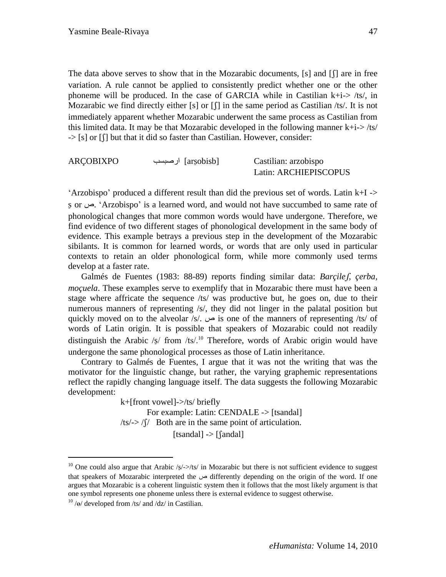The data above serves to show that in the Mozarabic documents,  $[s]$  and  $[{\uparrow}]$  are in free variation. A rule cannot be applied to consistently predict whether one or the other phoneme will be produced. In the case of GARCIA while in Castilian  $k+i \geq k \leq k$ , in Mozarabic we find directly either [s] or  $\lceil \cdot \rceil$  in the same period as Castilian /ts/. It is not immediately apparent whether Mozarabic underwent the same process as Castilian from this limited data. It may be that Mozarabic developed in the following manner  $k+i$ ->/ts/  $\Rightarrow$  [s] or  $\int$ ] but that it did so faster than Castilian. However, consider:

ARÇOBIXPO ارصثسة] ars̠obisb] Castilian: arzobispo Latin: ARCHIEPISCOPUS

"Arzobispo" produced a different result than did the previous set of words. Latin  $k+I \rightarrow$ s̠ or ص." Arzobispo" is a learned word, and would not have succumbed to same rate of phonological changes that more common words would have undergone. Therefore, we find evidence of two different stages of phonological development in the same body of evidence. This example betrays a previous step in the development of the Mozarabic sibilants. It is common for learned words, or words that are only used in particular contexts to retain an older phonological form, while more commonly used terms develop at a faster rate.

Galmés de Fuentes (1983: 88-89) reports finding similar data: *Barçile, çerba, moçuela*. These examples serve to exemplify that in Mozarabic there must have been a stage where affricate the sequence /ts/ was productive but, he goes on, due to their numerous manners of representing /s/, they did not linger in the palatal position but  $quickly moved on to the alveolar /s'.$  is one of the manners of representing /ts/ of words of Latin origin. It is possible that speakers of Mozarabic could not readily distinguish the Arabic /s/ from /ts/.<sup>10</sup> Therefore, words of Arabic origin would have undergone the same phonological processes as those of Latin inheritance.

Contrary to Galmés de Fuentes, I argue that it was not the writing that was the motivator for the linguistic change, but rather, the varying graphemic representations reflect the rapidly changing language itself. The data suggests the following Mozarabic development:

> k+[front vowel]->/ts/ briefly For example: Latin: CENDALE -> [tsandal]  $/ts$  >  $/f$  Both are in the same point of articulation.  $[tsandal]$  ->  $[$  $[andal]$

 $\overline{a}$ 

<sup>&</sup>lt;sup>10</sup> One could also argue that Arabic  $\frac{s}{}$ /ts/ in Mozarabic but there is not sufficient evidence to suggest that speakers of Mozarabic interpreted the ص differently depending on the origin of the word. If one argues that Mozarabic is a coherent linguistic system then it follows that the most likely argument is that one symbol represents one phoneme unless there is external evidence to suggest otherwise.

 $10 / \Theta$  developed from /ts/ and /dz/ in Castilian.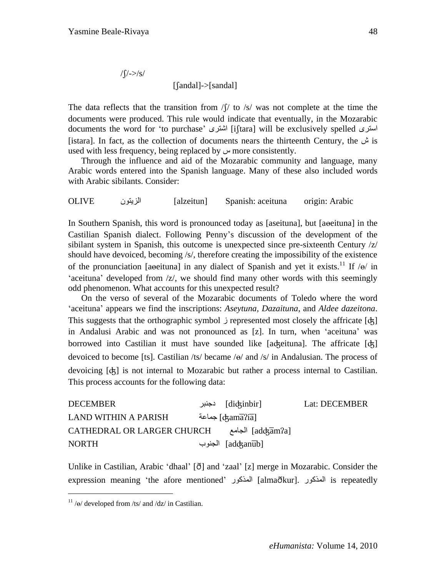$/\int$ /->/s/ [andal]->[sandal]

The data reflects that the transition from  $\sqrt{2}$  to /s/ was not complete at the time the documents were produced. This rule would indicate that eventually, in the Mozarabic documents the word for 'to purchase' المُشترى] [iftara] will be exclusively spelled استزى [istara]. In fact, as the collection of documents nears the thirteenth Century, the ش is used with less frequency, being replaced by ص more consistently.

Through the influence and aid of the Mozarabic community and language, many Arabic words entered into the Spanish language. Many of these also included words with Arabic sibilants. Consider:

OLIVE الشيتون] alzeitun] Spanish: aceituna origin: Arabic

In Southern Spanish, this word is pronounced today as [aseituna], but [abordina] in the Castilian Spanish dialect. Following Penny"s discussion of the development of the sibilant system in Spanish, this outcome is unexpected since pre-sixteenth Century /z/ should have devoiced, becoming /s/, therefore creating the impossibility of the existence of the pronunciation [a $ee$ ituna] in any dialect of Spanish and yet it exists.<sup>11</sup> If / $e$ / in 'aceituna' developed from /z/, we should find many other words with this seemingly odd phenomenon. What accounts for this unexpected result?

On the verso of several of the Mozarabic documents of Toledo where the word "aceituna" appears we find the inscriptions: *Aseytuna, Dazaituna,* and *Aldee dazeitona*.  $This suggests that the orthographic symbol  $\mathcal{Y}$  represented most closely the affricate  $[d\xi]$ .$ in Andalusi Arabic and was not pronounced as [z]. In turn, when "aceituna" was borrowed into Castilian it must have sounded like [aʤeituna]. The affricate [ʤ] devoiced to become [ts]. Castilian /ts/ became /ɵ/ and /s/ in Andalusian. The process of devoicing [ʤ] is not internal to Mozarabic but rather a process internal to Castilian. This process accounts for the following data:

| <b>DECEMBER</b>                                         | [diʤinbir] دجنبر | Lat: DECEMBER |
|---------------------------------------------------------|------------------|---------------|
| <b>LAND WITHIN A PARISH</b>                             | [ckamaʔia] جماعة |               |
| [addzam?a] الجامع [addzam?a] CATHEDRAL OR LARGER CHURCH |                  |               |
| <b>NORTH</b>                                            | [adʤanub] الجنوب |               |

Unlike in Castilian, Arabic 'dhaal'  $[\delta]$  and 'zaal'  $[z]$  merge in Mozarabic. Consider the expression meaning 'the afore mentioned' المذكور [almaðkur]. المذكور is repeatedly

 $\overline{a}$ 

 $11 / \omega$  developed from /ts/ and /dz/ in Castilian.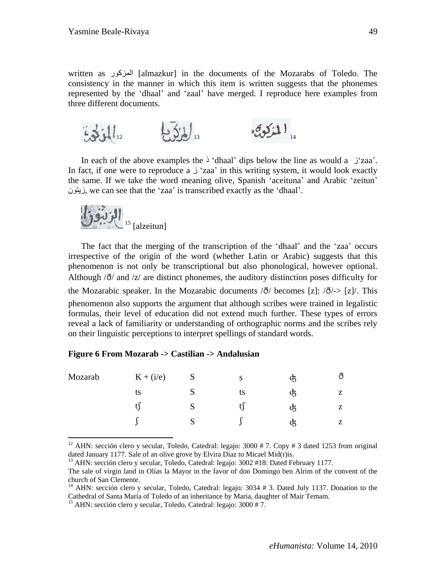written as المشكور] almazkur] in the documents of the Mozarabs of Toledo. The consistency in the manner in which this item is written suggests that the phonemes represented by the "dhaal" and "zaal" have merged. I reproduce here examples from three different documents.

12 13 المذكوفي

In each of the above examples the  $\Delta$  'dhaal' dips below the line as would a  $\Delta$ 'zaa'. In fact, if one were to reproduce a  $\dot{\mathcal{L}}$  zaa' in this writing system, it would look exactly the same. If we take the word meaning olive, Spanish "aceituna" and Arabic "zeitun" سيتون, we can see that the "zaa" is transcribed exactly as the "dhaal".



 $\overline{a}$ 

The fact that the merging of the transcription of the "dhaal" and the "zaa" occurs irrespective of the origin of the word (whether Latin or Arabic) suggests that this phenomenon is not only be transcriptional but also phonological, however optional. Although  $\partial$  and  $\partial$  are distinct phonemes, the auditory distinction poses difficulty for the Mozarabic speaker. In the Mozarabic documents  $\langle \delta \rangle$  becomes [z]:  $\langle \delta \rangle$ -> [z]. This phenomenon also supports the argument that although scribes were trained in legalistic formulas, their level of education did not extend much further. These types of errors reveal a lack of familiarity or understanding of orthographic norms and the scribes rely on their linguistic perceptions to interpret spellings of standard words.

|  |  | Figure 6 From Mozarab -> Castilian -> Andalusian |  |
|--|--|--------------------------------------------------|--|
|  |  |                                                  |  |

| Mozarab | $K + (i/e)$ | S | Ş  | B  | ð |
|---------|-------------|---|----|----|---|
|         | ts          | S | ts | B  | z |
|         |             | S |    | B  | z |
|         |             | S | ν  | JZ | z |

<sup>12</sup> AHN: sección clero y secular, Toledo, Catedral: legajo:  $3000 \# 7$ . Copy  $\# 3$  dated 1253 from original dated January 1177. Sale of an olive grove by Elvira Díaz to Micael Mid(r)is.

<sup>&</sup>lt;sup>13</sup> AHN: sección clero y secular, Toledo, Catedral: legajo: 3002 #18: Dated February 1177.

The sale of virgin land in Olías la Mayor in the favor of don Domingo ben Alrim of the convent of the church of San Clemente.

<sup>&</sup>lt;sup>14</sup> AHN: sección clero y secular, Toledo, Catedral: legajo: 3034 # 3. Dated July 1137. Donation to the Cathedral of Santa María of Toledo of an inheritance by Maria, daughter of Mair Temam.

<sup>&</sup>lt;sup>15</sup> AHN: sección clero y secular, Toledo, Catedral: legajo: 3000 # 7.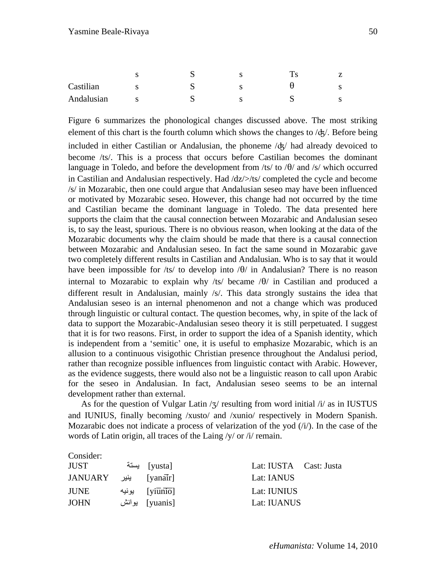|            |   | ⊾ | ω |  |
|------------|---|---|---|--|
| Castilian  | O | ⊾ | с |  |
| Andalusian | O | ີ |   |  |

Figure 6 summarizes the phonological changes discussed above. The most striking element of this chart is the fourth column which shows the changes to /ʤ/. Before being

included in either Castilian or Andalusian, the phoneme /ʤ/ had already devoiced to become /ts/. This is a process that occurs before Castilian becomes the dominant language in Toledo, and before the development from  $\frac{1}{s}$  to  $\frac{1}{\theta}$  and  $\frac{1}{s}$  which occurred in Castilian and Andalusian respectively. Had /dz/>/ts/ completed the cycle and become /s/ in Mozarabic, then one could argue that Andalusian seseo may have been influenced or motivated by Mozarabic seseo. However, this change had not occurred by the time and Castilian became the dominant language in Toledo. The data presented here supports the claim that the causal connection between Mozarabic and Andalusian seseo is, to say the least, spurious. There is no obvious reason, when looking at the data of the Mozarabic documents why the claim should be made that there is a causal connection between Mozarabic and Andalusian seseo. In fact the same sound in Mozarabic gave two completely different results in Castilian and Andalusian. Who is to say that it would have been impossible for /ts/ to develop into  $\theta$ / in Andalusian? There is no reason internal to Mozarabic to explain why /ts/ became  $/\theta$  in Castilian and produced a different result in Andalusian, mainly /s/. This data strongly sustains the idea that Andalusian seseo is an internal phenomenon and not a change which was produced through linguistic or cultural contact. The question becomes, why, in spite of the lack of data to support the Mozarabic-Andalusian seseo theory it is still perpetuated. I suggest that it is for two reasons. First, in order to support the idea of a Spanish identity, which is independent from a "semitic" one, it is useful to emphasize Mozarabic, which is an allusion to a continuous visigothic Christian presence throughout the Andalusi period, rather than recognize possible influences from linguistic contact with Arabic. However, as the evidence suggests, there would also not be a linguistic reason to call upon Arabic for the seseo in Andalusian. In fact, Andalusian seseo seems to be an internal development rather than external.

As for the question of Vulgar Latin  $\frac{1}{3}$  resulting from word initial  $\frac{1}{4}$  as in IUSTUS and IUNIUS, finally becoming /xusto/ and /xunio/ respectively in Modern Spanish. Mozarabic does not indicate a process of velarization of the yod  $(i)$ . In the case of the words of Latin origin, all traces of the Laing /y/ or /i/ remain.

Consider:

| JUST                            | [yusta] يستة           | Lat: IUSTA Cast: Justa |  |
|---------------------------------|------------------------|------------------------|--|
| [yanair]     ينير       JANUARY |                        | Lat: IANUS             |  |
| <b>JUNE</b>                     | رنيه [yiūnio]    يونيه | Lat: IUNIUS            |  |
| <b>JOHN</b>                     | [yuanis] يوانش         | Lat: IUANUS            |  |
|                                 |                        |                        |  |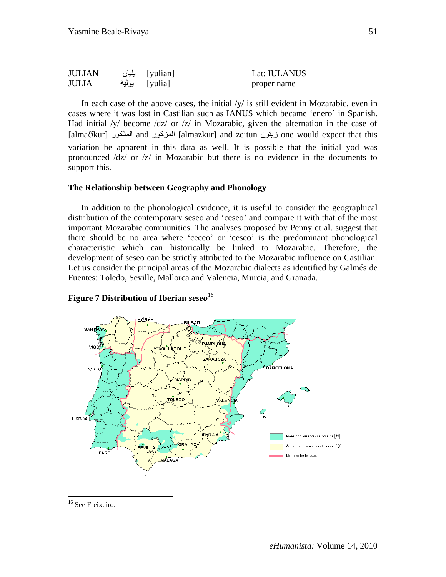| <b>JULIAN</b> | [yulian] یلیان | Lat: IULANUS |  |
|---------------|----------------|--------------|--|
| <b>JULIA</b>  | [yulia] يَولية | proper name  |  |

In each case of the above cases, the initial  $/y/$  is still evident in Mozarabic, even in cases where it was lost in Castilian such as IANUS which became "enero" in Spanish. Had initial /y/ become /dz/ or /z/ in Mozarabic, given the alternation in the case of [almakur] المذكور and المشكور] almazkur] and zeitun سيتون one would expect that this variation be apparent in this data as well. It is possible that the initial yod was pronounced /dz/ or /z/ in Mozarabic but there is no evidence in the documents to support this.

# **The Relationship between Geography and Phonology**

In addition to the phonological evidence, it is useful to consider the geographical distribution of the contemporary seseo and "ceseo" and compare it with that of the most important Mozarabic communities. The analyses proposed by Penny et al. suggest that there should be no area where "ceceo" or "ceseo" is the predominant phonological characteristic which can historically be linked to Mozarabic. Therefore, the development of seseo can be strictly attributed to the Mozarabic influence on Castilian. Let us consider the principal areas of the Mozarabic dialects as identified by Galmés de Fuentes: Toledo, Seville, Mallorca and Valencia, Murcia, and Granada.



# **Figure 7 Distribution of Iberian** *seseo*<sup>16</sup>

 $\overline{a}$ 

<sup>&</sup>lt;sup>16</sup> See Freixeiro.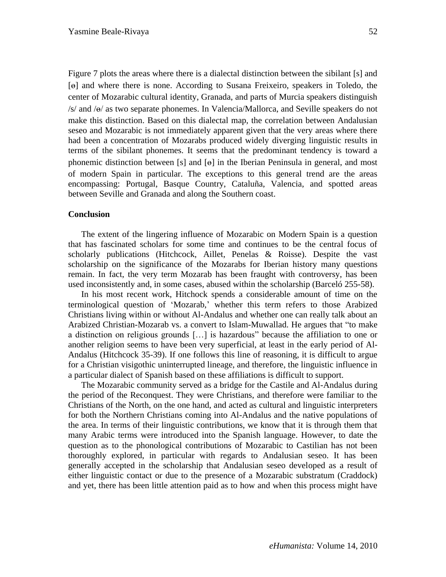Figure 7 plots the areas where there is a dialectal distinction between the sibilant [s] and [ɵ] and where there is none. According to Susana Freixeiro, speakers in Toledo, the center of Mozarabic cultural identity, Granada, and parts of Murcia speakers distinguish /s/ and /ɵ/ as two separate phonemes. In Valencia/Mallorca, and Seville speakers do not make this distinction. Based on this dialectal map, the correlation between Andalusian seseo and Mozarabic is not immediately apparent given that the very areas where there had been a concentration of Mozarabs produced widely diverging linguistic results in terms of the sibilant phonemes. It seems that the predominant tendency is toward a phonemic distinction between [s] and  $\lceil \theta \rceil$  in the Iberian Peninsula in general, and most of modern Spain in particular. The exceptions to this general trend are the areas encompassing: Portugal, Basque Country, Cataluña, Valencia, and spotted areas between Seville and Granada and along the Southern coast.

### **Conclusion**

The extent of the lingering influence of Mozarabic on Modern Spain is a question that has fascinated scholars for some time and continues to be the central focus of scholarly publications (Hitchcock, Aillet, Penelas & Roisse). Despite the vast scholarship on the significance of the Mozarabs for Iberian history many questions remain. In fact, the very term Mozarab has been fraught with controversy, has been used inconsistently and, in some cases, abused within the scholarship (Barceló 255-58).

In his most recent work, Hitchock spends a considerable amount of time on the terminological question of "Mozarab," whether this term refers to those Arabized Christians living within or without Al-Andalus and whether one can really talk about an Arabized Christian-Mozarab vs. a convert to Islam-Muwallad. He argues that "to make a distinction on religious grounds […] is hazardous" because the affiliation to one or another religion seems to have been very superficial, at least in the early period of Al-Andalus (Hitchcock 35-39). If one follows this line of reasoning, it is difficult to argue for a Christian visigothic uninterrupted lineage, and therefore, the linguistic influence in a particular dialect of Spanish based on these affiliations is difficult to support.

The Mozarabic community served as a bridge for the Castile and Al-Andalus during the period of the Reconquest. They were Christians, and therefore were familiar to the Christians of the North, on the one hand, and acted as cultural and linguistic interpreters for both the Northern Christians coming into Al-Andalus and the native populations of the area. In terms of their linguistic contributions, we know that it is through them that many Arabic terms were introduced into the Spanish language. However, to date the question as to the phonological contributions of Mozarabic to Castilian has not been thoroughly explored, in particular with regards to Andalusian seseo. It has been generally accepted in the scholarship that Andalusian seseo developed as a result of either linguistic contact or due to the presence of a Mozarabic substratum (Craddock) and yet, there has been little attention paid as to how and when this process might have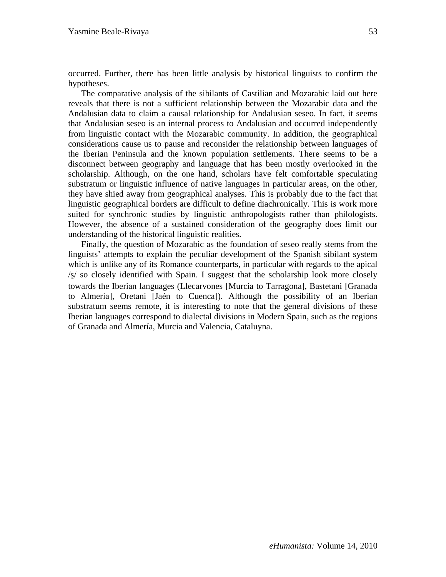occurred. Further, there has been little analysis by historical linguists to confirm the hypotheses.

The comparative analysis of the sibilants of Castilian and Mozarabic laid out here reveals that there is not a sufficient relationship between the Mozarabic data and the Andalusian data to claim a causal relationship for Andalusian seseo. In fact, it seems that Andalusian seseo is an internal process to Andalusian and occurred independently from linguistic contact with the Mozarabic community. In addition, the geographical considerations cause us to pause and reconsider the relationship between languages of the Iberian Peninsula and the known population settlements. There seems to be a disconnect between geography and language that has been mostly overlooked in the scholarship. Although, on the one hand, scholars have felt comfortable speculating substratum or linguistic influence of native languages in particular areas, on the other, they have shied away from geographical analyses. This is probably due to the fact that linguistic geographical borders are difficult to define diachronically. This is work more suited for synchronic studies by linguistic anthropologists rather than philologists. However, the absence of a sustained consideration of the geography does limit our understanding of the historical linguistic realities.

Finally, the question of Mozarabic as the foundation of seseo really stems from the linguists' attempts to explain the peculiar development of the Spanish sibilant system which is unlike any of its Romance counterparts, in particular with regards to the apical /s/ so closely identified with Spain. I suggest that the scholarship look more closely towards the Iberian languages (Llecarvones [Murcia to Tarragona], Bastetani [Granada to Almería], Oretani [Jaén to Cuenca]). Although the possibility of an Iberian substratum seems remote, it is interesting to note that the general divisions of these Iberian languages correspond to dialectal divisions in Modern Spain, such as the regions of Granada and Almería, Murcia and Valencia, Cataluyna.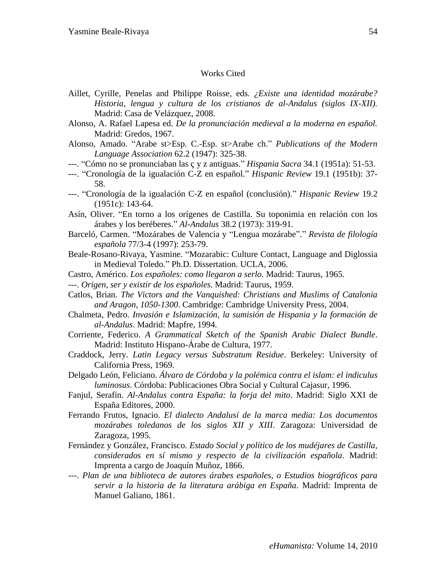#### Works Cited

- Aillet, Cyrille, Penelas and Philippe Roisse, eds. *¿Existe una identidad mozárabe? Historia, lengua y cultura de los cristianos de al-Andalus (siglos IX-XII).*  Madrid: Casa de Velázquez, 2008.
- Alonso, A. Rafael Lapesa ed. *De la pronunciación medieval a la moderna en español.* Madrid: Gredos, 1967.
- Alonso, Amado. "Arabe st>Esp. C.-Esp. st>Arabe ch." *Publications of the Modern Language Association* 62.2 (1947): 325-38.
- ---. "Cómo no se pronunciaban las ç y z antiguas." *Hispania Sacra* 34.1 (1951a): 51-53.
- ---. "Cronología de la igualación C-Z en español." *Hispanic Review* 19.1 (1951b): 37- 58.
- ---. "Cronología de la igualación C-Z en español (conclusión)." *Hispanic Review* 19.2 (1951c): 143-64.
- Asín, Oliver. "En torno a los orígenes de Castilla. Su toponimia en relación con los árabes y los beréberes." *Al-Andalus* 38.2 (1973): 319-91.
- Barceló, Carmen. "Mozárabes de Valencia y "Lengua mozárabe"." *Revista de filología española* 77/3-4 (1997): 253-79.
- Beale-Rosano-Rivaya, Yasmine. "Mozarabic: Culture Contact, Language and Diglossia in Medieval Toledo." Ph.D. Dissertation. UCLA, 2006.
- Castro, Américo. *Los españoles: como llegaron a serlo*. Madrid: Taurus, 1965.

---. *Origen, ser y existir de los españoles*. Madrid: Taurus, 1959.

- Catlos, Brian. *The Victors and the Vanquished: Christians and Muslims of Catalonia and Aragon, 1050-1300*. Cambridge: Cambridge University Press, 2004.
- Chalmeta, Pedro. *Invasión e Islamización, la sumisión de Hispania y la formación de al-Andalus*. Madrid: Mapfre, 1994.
- Corriente, Federico. *A Grammatical Sketch of the Spanish Arabic Dialect Bundle*. Madrid: Instituto Hispano-Árabe de Cultura, 1977.
- Craddock, Jerry. *Latin Legacy versus Substratum Residue*. Berkeley: University of California Press, 1969.
- Delgado León, Feliciano. *Álvaro de Córdoba y la polémica contra el islam: el indiculus luminosus*. Córdoba: Publicaciones Obra Social y Cultural Cajasur, 1996.
- Fanjul, Serafín. *Al-Andalus contra España: la forja del mito*. Madrid: Siglo XXI de España Editores, 2000.
- Ferrando Frutos, Ignacio. *El dialecto Andalusí de la marca media: Los documentos mozárabes toledanos de los siglos XII y XIII*. Zaragoza: Universidad de Zaragoza, 1995.
- Fernández y González, Francisco. *Estado Social y político de los mudéjares de Castilla, considerados en sí mismo y respecto de la civilización española*. Madrid: Imprenta a cargo de Joaquín Muñoz, 1866.
- ---. *Plan de una biblioteca de autores árabes españoles, o Estudios biográficos para servir a la historia de la literatura arábiga en España*. Madrid: Imprenta de Manuel Galiano, 1861.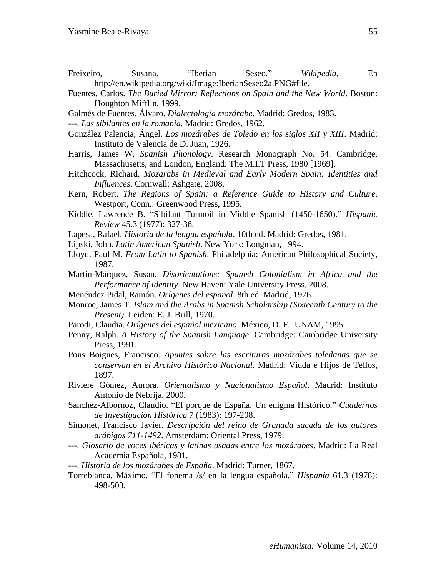- Freixeiro, Susana. "Iberian Seseo." *Wikipedia.* En http://en.wikipedia.org/wiki/Image:IberianSeseo2a.PNG#file.
- Fuentes, Carlos. *The Buried Mirror: Reflections on Spain and the New World*. Boston: Houghton Mifflin, 1999.
- Galmés de Fuentes, Álvaro. *Dialectología mozárabe*. Madrid: Gredos, 1983.
- ---. *Las sibilantes en la romania*. Madrid: Gredos, 1962.
- González Palencia, Ángel. *Los mozárabes de Toledo en los siglos XII y XIII*. Madrid: Instituto de Valencia de D. Juan, 1926.
- Harris, James W. *Spanish Phonology*. Research Monograph No. 54. Cambridge, Massachusetts, and London, England: The M.I.T Press, 1980 [1969].
- Hitchcock, Richard. *Mozarabs in Medieval and Early Modern Spain: Identities and Influences*. Cornwall: Ashgate, 2008.
- Kern, Robert. *The Regions of Spain: a Reference Guide to History and Culture*. Westport, Conn.: Greenwood Press, 1995.
- Kiddle, Lawrence B. "Sibilant Turmoil in Middle Spanish (1450-1650)." *Hispanic Review* 45.3 (1977): 327-36.
- Lapesa, Rafael*. Historia de la lengua española*. 10th ed. Madrid: Gredos, 1981.
- Lipski, John. *Latin American Spanish*. New York: Longman, 1994.
- Lloyd, Paul M. *From Latin to Spanish*. Philadelphia: American Philosophical Society, 1987.
- Martin-Márquez, Susan. *Disorientations: Spanish Colonialism in Africa and the Performance of Identity*. New Haven: Yale University Press, 2008.
- Menéndez Pidal, Ramón. *Orígenes del español*. 8th ed. Madrid, 1976.
- Monroe, James T. *Islam and the Arabs in Spanish Scholarship (Sixteenth Century to the Present).* Leiden: E. J. Brill, 1970.
- Parodi, Claudia. *Orígenes del español mexicano*. México, D. F.: UNAM, 1995.
- Penny, Ralph. *A History of the Spanish Language*. Cambridge: Cambridge University Press, 1991.
- Pons Boigues, Francisco. *Apuntes sobre las escrituras mozárabes toledanas que se conservan en el Archivo Histórico Nacional.* Madrid: Viuda e Hijos de Tellos, 1897.
- Riviere Gómez, Aurora. *Orientalismo y Nacionalismo Español*. Madrid: Instituto Antonio de Nebrija, 2000.
- Sanchez-Albornoz, Claudio. "El porque de España, Un enigma Histórico." *Cuadernos de Investigación Histórica* 7 (1983): 197-208.
- Simonet, Francisco Javier. *Descripción del reino de Granada sacada de los autores arábigos 711-1492*. Amsterdam: Oriental Press, 1979.
- ---. *Glosario de voces ibéricas y latinas usadas entre los mozárabes*. Madrid: La Real Academia Española, 1981.
- ---. *Historia de los mozárabes de España*. Madrid: Turner, 1867.
- Torreblanca, Máximo. "El fonema /s/ en la lengua española." *Hispania* 61.3 (1978): 498-503.